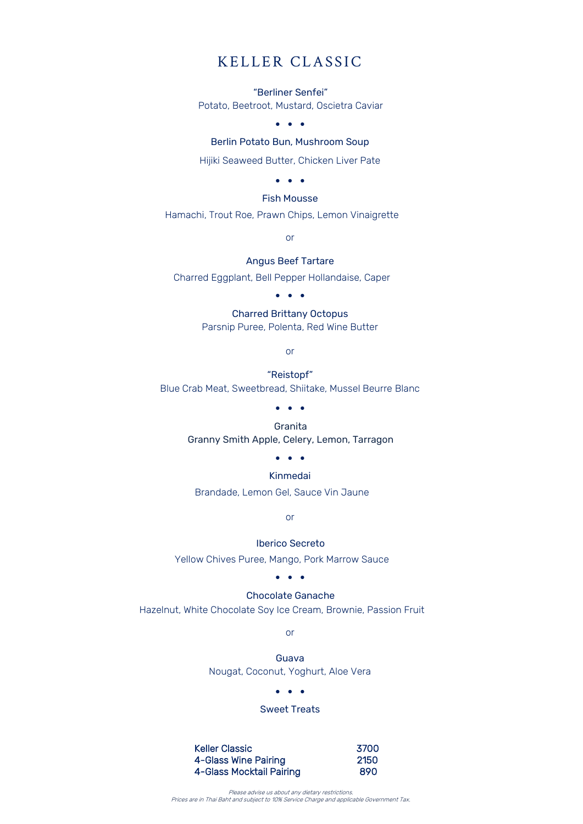### KELLER CLASSIC

"Berliner Senfei" Potato, Beetroot, Mustard, Oscietra Caviar

• • •

### Berlin Potato Bun, Mushroom Soup

Hijiki Seaweed Butter, Chicken Liver Pate

• • •

#### Fish Mousse

Hamachi, Trout Roe, Prawn Chips, Lemon Vinaigrette

or

#### Angus Beef Tartare

Charred Eggplant, Bell Pepper Hollandaise, Caper

• • •

Charred Brittany Octopus Parsnip Puree, Polenta, Red Wine Butter

or

"Reistopf" Blue Crab Meat, Sweetbread, Shiitake, Mussel Beurre Blanc

• • •

Granita Granny Smith Apple, Celery, Lemon, Tarragon

### • • •

### Kinmedai

Brandade, Lemon Gel, Sauce Vin Jaune

or

Iberico Secreto

Yellow Chives Puree, Mango, Pork Marrow Sauce

• • •

### Chocolate Ganache

Hazelnut, White Chocolate Soy Ice Cream, Brownie, Passion Fruit

or

Guava Nougat, Coconut, Yoghurt, Aloe Vera

• • •

### Sweet Treats

| <b>Keller Classic</b>                            | 3700 |
|--------------------------------------------------|------|
| 4-Glass Wine Pairing<br>4-Glass Mocktail Pairing | 2150 |
|                                                  | 890  |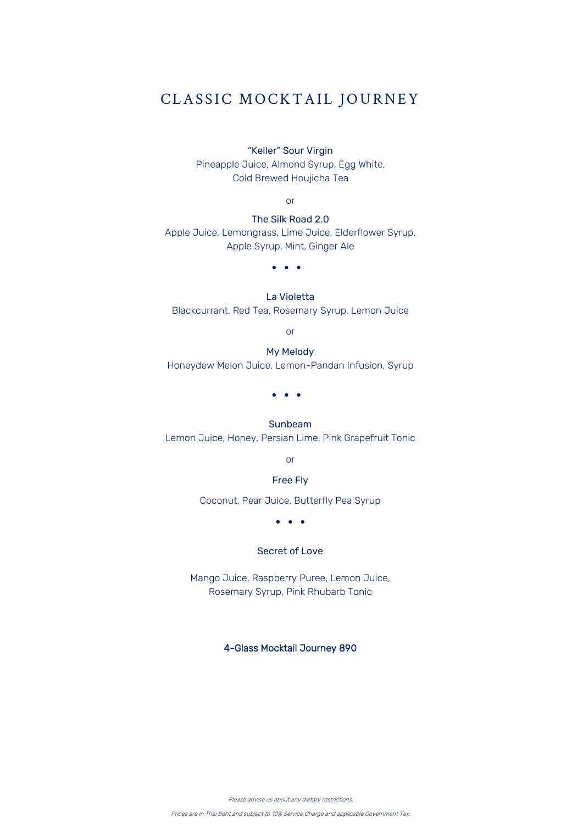# CLASSIC MOCKTAIL JOURNEY

"Keller" Sour Virgin

Pineapple Juice, Almond Syrup, Egg White, Cold Brewed Houjicha Tea

or

The Silk Road 2.0 Apple Juice, Lemongrass, Lime Juice, Elderflower Syrup, Apple Syrup, Mint, Ginger Ale

• • •

La Violetta

Blackcurrant, Red Tea, Rosemary Syrup, Lemon Juice

or

#### My Melody

Honeydew Melon Juice, Lemon-Pandan Infusion, Syrup

• • •

#### Sunbeam

Lemon Juice, Honey, Persian Lime, Pink Grapefruit Tonic

or

### Free Fly

Coconut, Pear Juice, Butterfly Pea Syrup

• • •

### Secret of Love

Mango Juice, Raspberry Puree, Lemon Juice, Rosemary Syrup, Pink Rhubarb Tonic

### 4-Glass Mocktail Journey 890

Please advise us about any dietary restrictions.

Prices are in Thai Baht and subject to 10% Service Charge and applicable Government Tax.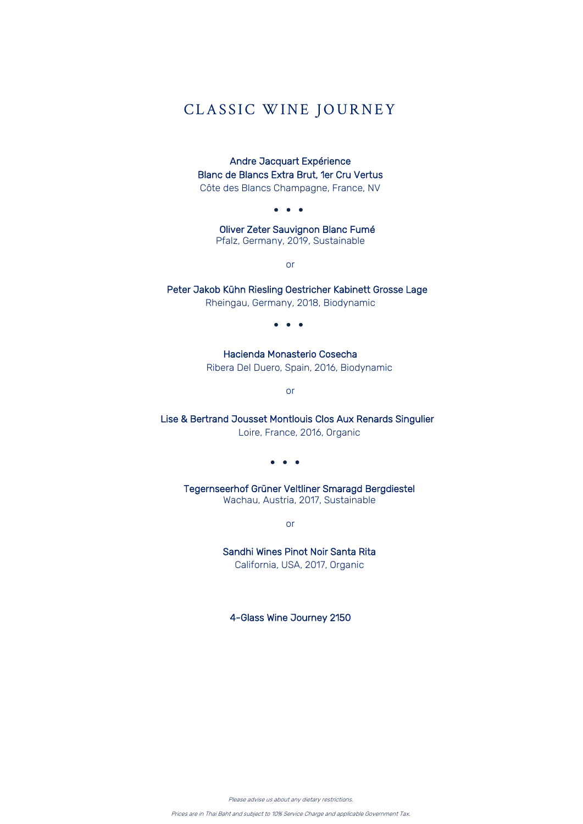# CLASSIC WINE JOURNEY

Andre Jacquart Expérience Blanc de Blancs Extra Brut, 1er Cru Vertus

Côte des Blancs Champagne, France, NV

• • •

Oliver Zeter Sauvignon Blanc Fumé Pfalz, Germany, 2019, Sustainable

or

Peter Jakob Kühn Riesling Oestricher Kabinett Grosse Lage

Rheingau, Germany, 2018, Biodynamic

• • •

Hacienda Monasterio Cosecha Ribera Del Duero, Spain, 2016, Biodynamic

or

Lise & Bertrand Jousset Montlouis Clos Aux Renards Singulier

Loire, France, 2016, Organic

• • •

Tegernseerhof Grüner Veltliner Smaragd Bergdiestel Wachau, Austria, 2017, Sustainable

or

Sandhi Wines Pinot Noir Santa Rita

California, USA, 2017, Organic

4-Glass Wine Journey 2150

Please advise us about any dietary restrictions.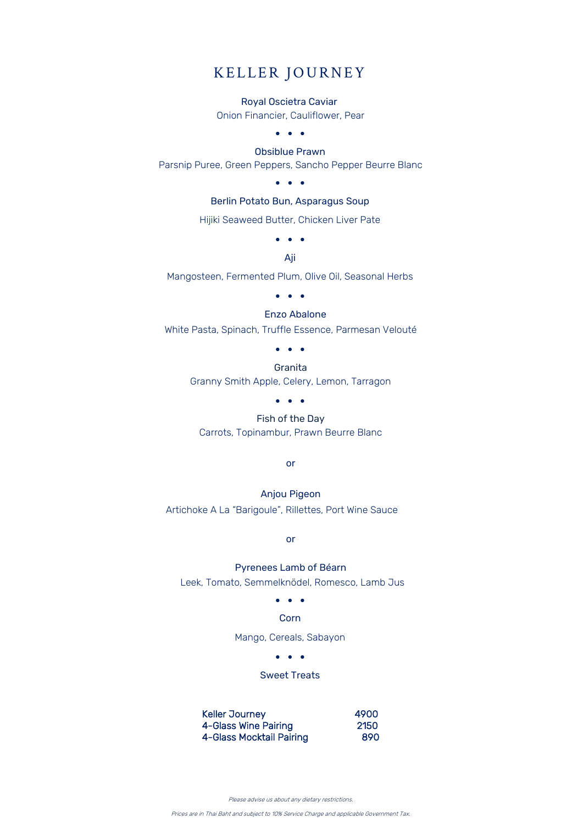# KELLER JOURNEY

#### Royal Oscietra Caviar

Onion Financier, Cauliflower, Pear

### • • •

Obsiblue Prawn Parsnip Puree, Green Peppers, Sancho Pepper Beurre Blanc

• • •

Berlin Potato Bun, Asparagus Soup

Hijiki Seaweed Butter, Chicken Liver Pate

• • •

Aji

Mangosteen, Fermented Plum, Olive Oil, Seasonal Herbs

• • •

#### Enzo Abalone

White Pasta, Spinach, Truffle Essence, Parmesan Velouté

• • •

Granita Granny Smith Apple, Celery, Lemon, Tarragon

• • •

Fish of the Day Carrots, Topinambur, Prawn Beurre Blanc

or

### Anjou Pigeon

Artichoke A La "Barigoule", Rillettes, Port Wine Sauce

or

### Pyrenees Lamb of Béarn

Leek, Tomato, Semmelknödel, Romesco, Lamb Jus

• • •

Corn

Mango, Cereals, Sabayon

• • •

### Sweet Treats

Keller Journey **4900**  4-Glass Wine Pairing 2150 4-Glass Mocktail Pairing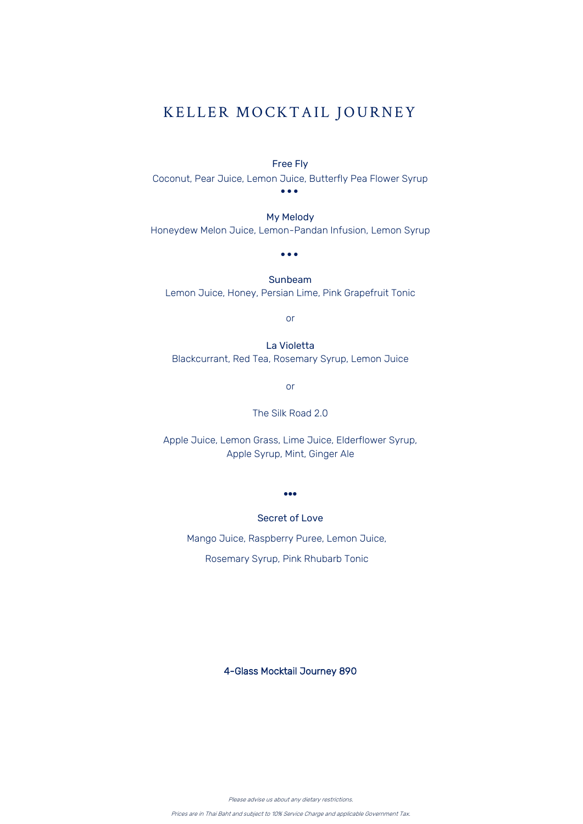## KELLER MOCKTAIL JOURNEY

### Free Fly

Coconut, Pear Juice, Lemon Juice, Butterfly Pea Flower Syrup • • •

My Melody Honeydew Melon Juice, Lemon-Pandan Infusion, Lemon Syrup

• • •

Sunbeam Lemon Juice, Honey, Persian Lime, Pink Grapefruit Tonic

or

La Violetta Blackcurrant, Red Tea, Rosemary Syrup, Lemon Juice

or

The Silk Road 2.0

Apple Juice, Lemon Grass, Lime Juice, Elderflower Syrup, Apple Syrup, Mint, Ginger Ale

•••

Secret of Love

Mango Juice, Raspberry Puree, Lemon Juice, Rosemary Syrup, Pink Rhubarb Tonic

4-Glass Mocktail Journey 890

Please advise us about any dietary restrictions.

Prices are in Thai Baht and subject to 10% Service Charge and applicable Government Tax.